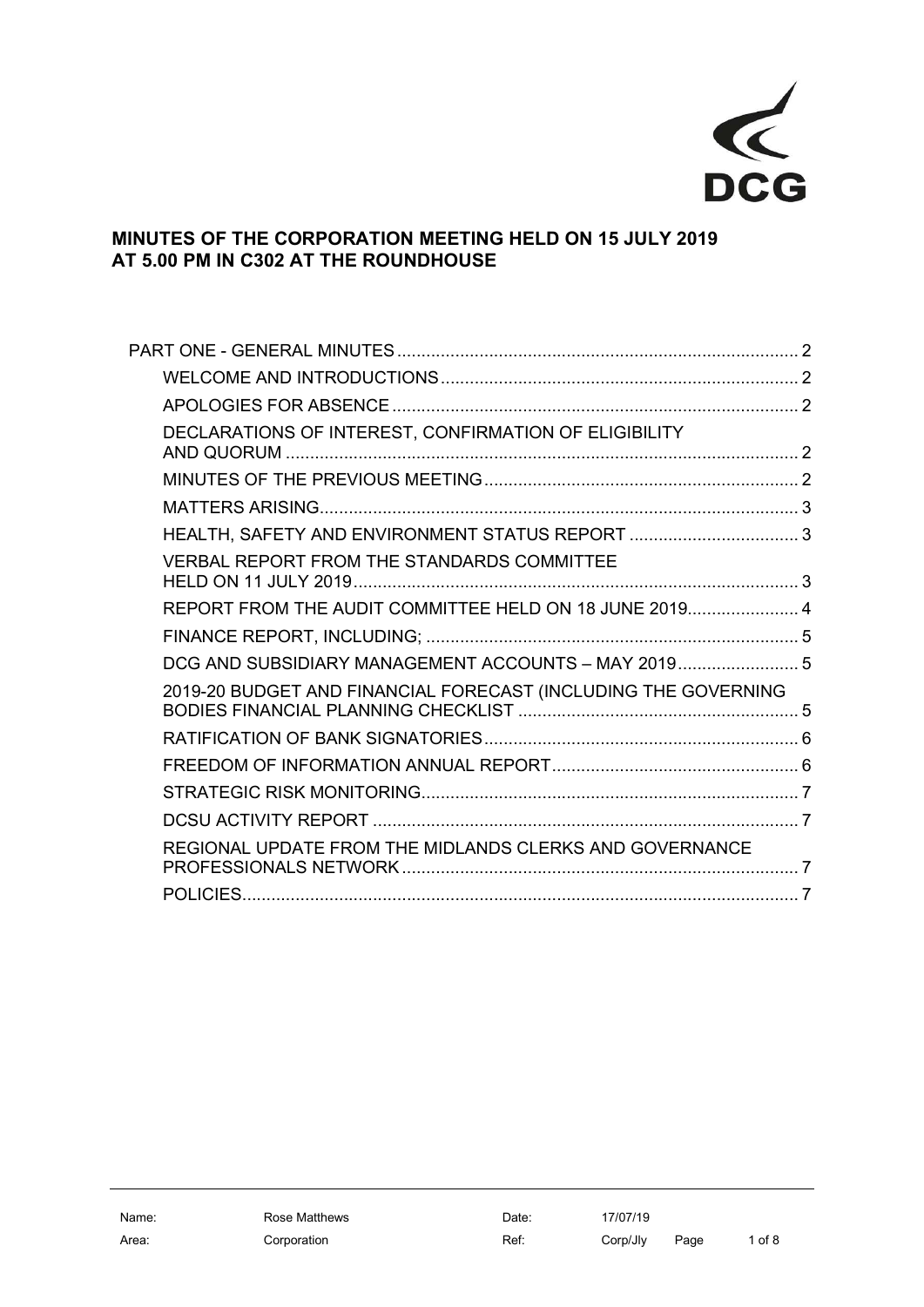

## MINUTES OF THE CORPORATION MEETING HELD ON 15 JULY 2019 AT 5.00 PM IN C302 AT THE ROUNDHOUSE

| DECLARATIONS OF INTEREST, CONFIRMATION OF ELIGIBILITY          |  |
|----------------------------------------------------------------|--|
|                                                                |  |
|                                                                |  |
| HEALTH, SAFETY AND ENVIRONMENT STATUS REPORT 3                 |  |
| <b>VERBAL REPORT FROM THE STANDARDS COMMITTEE</b>              |  |
| REPORT FROM THE AUDIT COMMITTEE HELD ON 18 JUNE 2019 4         |  |
|                                                                |  |
| DCG AND SUBSIDIARY MANAGEMENT ACCOUNTS - MAY 2019 5            |  |
| 2019-20 BUDGET AND FINANCIAL FORECAST (INCLUDING THE GOVERNING |  |
|                                                                |  |
|                                                                |  |
|                                                                |  |
|                                                                |  |
| REGIONAL UPDATE FROM THE MIDLANDS CLERKS AND GOVERNANCE        |  |
|                                                                |  |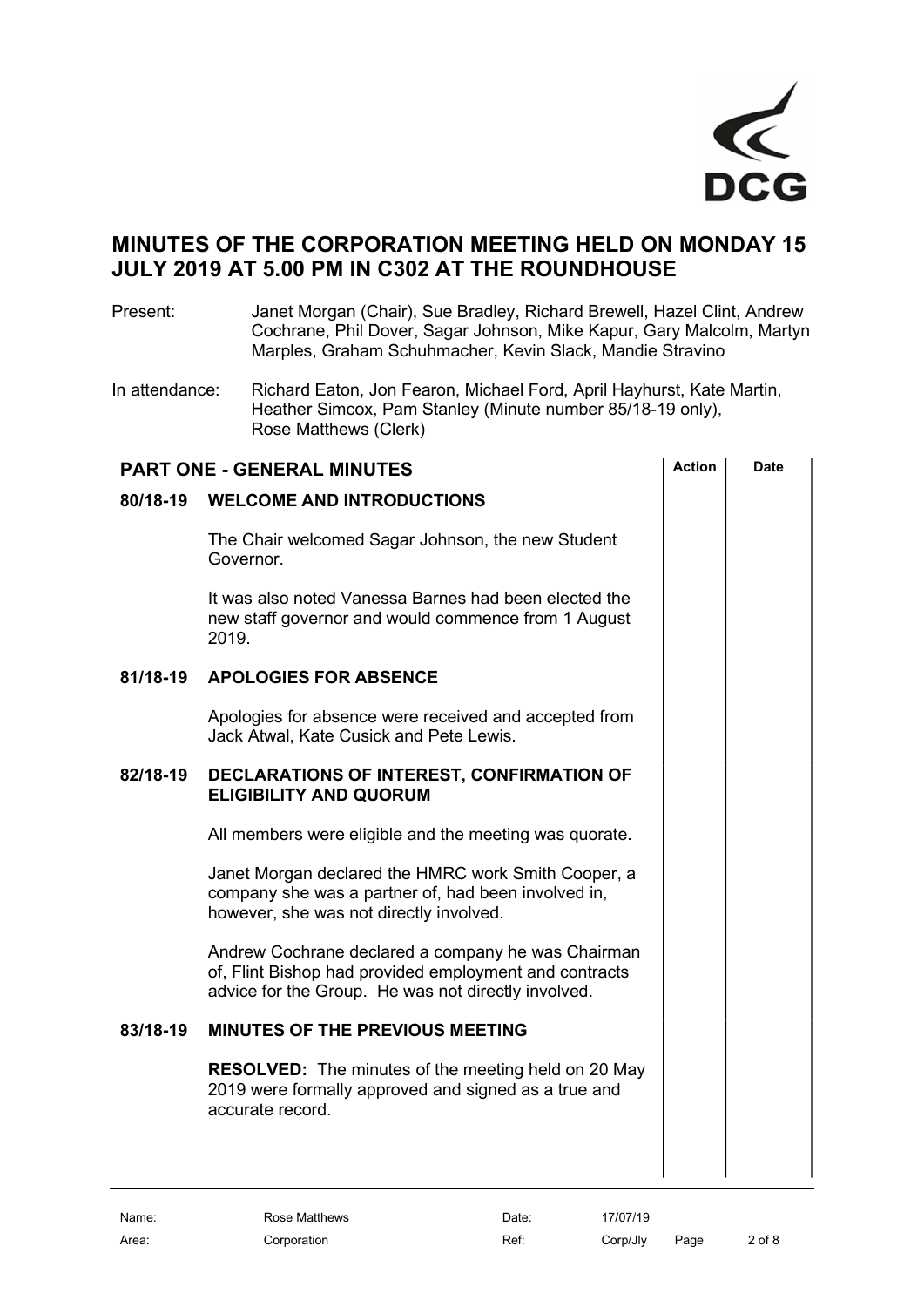

# MINUTES OF THE CORPORATION MEETING HELD ON MONDAY 15 JULY 2019 AT 5.00 PM IN C302 AT THE ROUNDHOUSE

Present: Janet Morgan (Chair), Sue Bradley, Richard Brewell, Hazel Clint, Andrew Cochrane, Phil Dover, Sagar Johnson, Mike Kapur, Gary Malcolm, Martyn Marples, Graham Schuhmacher, Kevin Slack, Mandie Stravino

In attendance: Richard Eaton, Jon Fearon, Michael Ford, April Hayhurst, Kate Martin, Heather Simcox, Pam Stanley (Minute number 85/18-19 only), Rose Matthews (Clerk)

| <b>PART ONE - GENERAL MINUTES</b> |                                                                                                                                                                     | <b>Action</b> | <b>Date</b> |
|-----------------------------------|---------------------------------------------------------------------------------------------------------------------------------------------------------------------|---------------|-------------|
| 80/18-19                          | <b>WELCOME AND INTRODUCTIONS</b>                                                                                                                                    |               |             |
|                                   | The Chair welcomed Sagar Johnson, the new Student<br>Governor.                                                                                                      |               |             |
|                                   | It was also noted Vanessa Barnes had been elected the<br>new staff governor and would commence from 1 August<br>2019.                                               |               |             |
| 81/18-19                          | <b>APOLOGIES FOR ABSENCE</b>                                                                                                                                        |               |             |
|                                   | Apologies for absence were received and accepted from<br>Jack Atwal, Kate Cusick and Pete Lewis.                                                                    |               |             |
| 82/18-19                          | DECLARATIONS OF INTEREST, CONFIRMATION OF<br><b>ELIGIBILITY AND QUORUM</b>                                                                                          |               |             |
|                                   | All members were eligible and the meeting was quorate.                                                                                                              |               |             |
|                                   | Janet Morgan declared the HMRC work Smith Cooper, a<br>company she was a partner of, had been involved in,<br>however, she was not directly involved.               |               |             |
|                                   | Andrew Cochrane declared a company he was Chairman<br>of, Flint Bishop had provided employment and contracts<br>advice for the Group. He was not directly involved. |               |             |
| 83/18-19                          | <b>MINUTES OF THE PREVIOUS MEETING</b>                                                                                                                              |               |             |
|                                   | <b>RESOLVED:</b> The minutes of the meeting held on 20 May<br>2019 were formally approved and signed as a true and<br>accurate record.                              |               |             |
|                                   |                                                                                                                                                                     |               |             |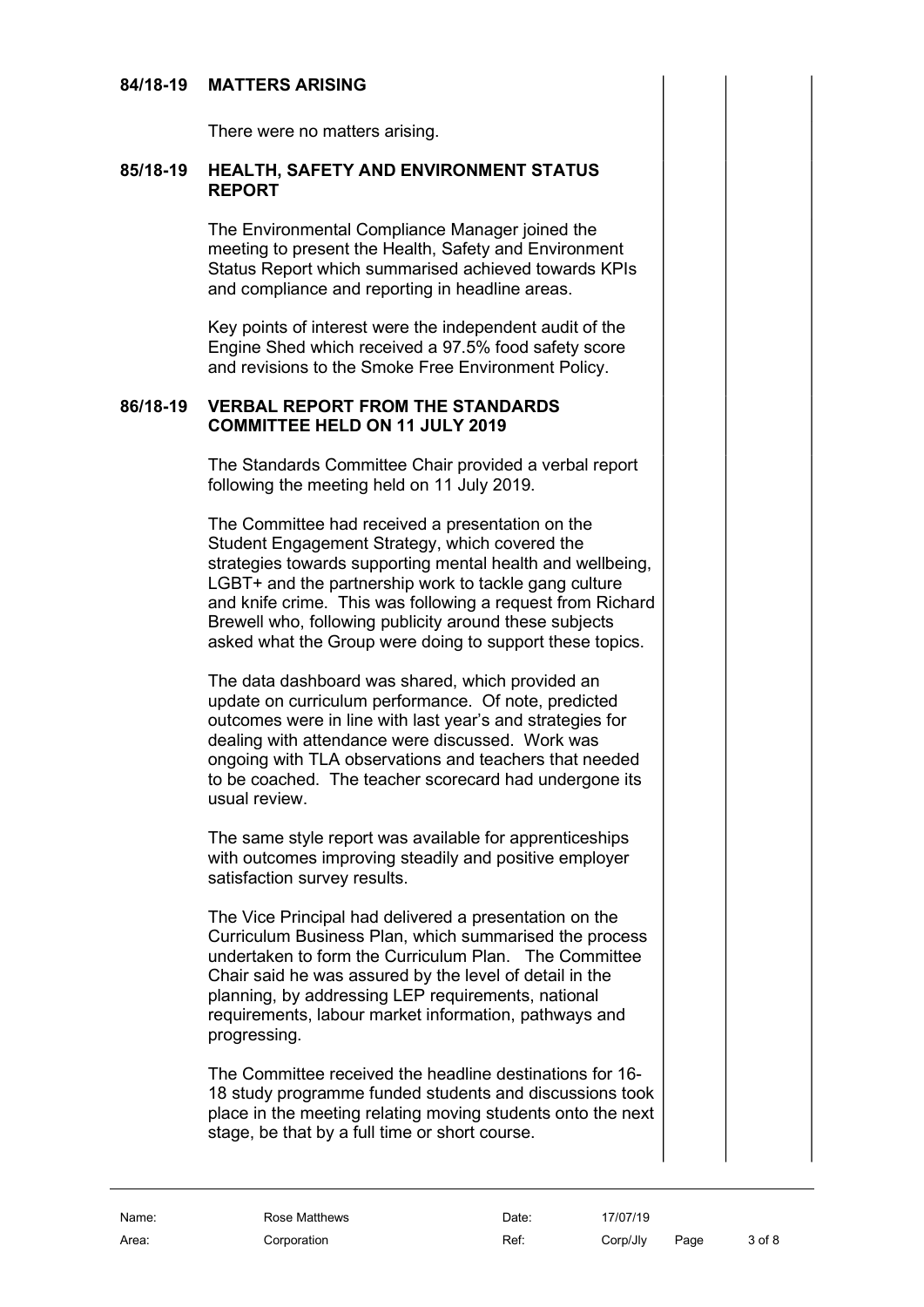## 84/18-19 MATTERS ARISING

There were no matters arising.

#### 85/18-19 HEALTH, SAFETY AND ENVIRONMENT STATUS REPORT

The Environmental Compliance Manager joined the meeting to present the Health, Safety and Environment Status Report which summarised achieved towards KPIs and compliance and reporting in headline areas.

Key points of interest were the independent audit of the Engine Shed which received a 97.5% food safety score and revisions to the Smoke Free Environment Policy.

## 86/18-19 VERBAL REPORT FROM THE STANDARDS COMMITTEE HELD ON 11 JULY 2019

The Standards Committee Chair provided a verbal report following the meeting held on 11 July 2019.

The Committee had received a presentation on the Student Engagement Strategy, which covered the strategies towards supporting mental health and wellbeing, LGBT+ and the partnership work to tackle gang culture and knife crime. This was following a request from Richard Brewell who, following publicity around these subjects asked what the Group were doing to support these topics.

The data dashboard was shared, which provided an update on curriculum performance. Of note, predicted outcomes were in line with last year's and strategies for dealing with attendance were discussed. Work was ongoing with TLA observations and teachers that needed to be coached. The teacher scorecard had undergone its usual review.

The same style report was available for apprenticeships with outcomes improving steadily and positive employer satisfaction survey results.

The Vice Principal had delivered a presentation on the Curriculum Business Plan, which summarised the process undertaken to form the Curriculum Plan. The Committee Chair said he was assured by the level of detail in the planning, by addressing LEP requirements, national requirements, labour market information, pathways and progressing.

The Committee received the headline destinations for 16- 18 study programme funded students and discussions took place in the meeting relating moving students onto the next stage, be that by a full time or short course.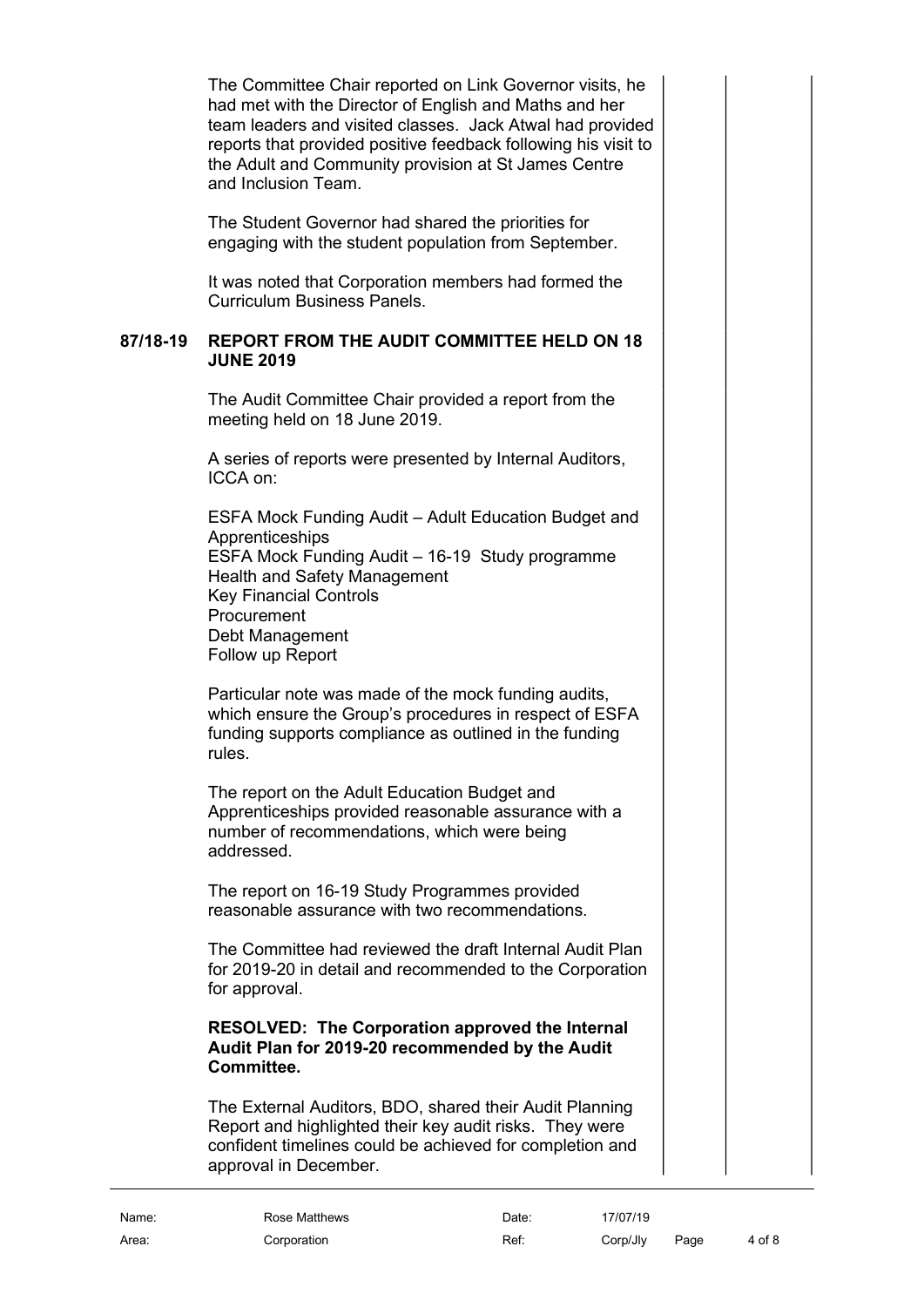The Committee Chair reported on Link Governor visits, he had met with the Director of English and Maths and her team leaders and visited classes. Jack Atwal had provided reports that provided positive feedback following his visit to the Adult and Community provision at St James Centre and Inclusion Team.

The Student Governor had shared the priorities for engaging with the student population from September.

It was noted that Corporation members had formed the Curriculum Business Panels.

#### 87/18-19 REPORT FROM THE AUDIT COMMITTEE HELD ON 18 JUNE 2019

The Audit Committee Chair provided a report from the meeting held on 18 June 2019.

A series of reports were presented by Internal Auditors, ICCA on:

ESFA Mock Funding Audit – Adult Education Budget and Apprenticeships ESFA Mock Funding Audit – 16-19 Study programme Health and Safety Management Key Financial Controls **Procurement** Debt Management Follow up Report

Particular note was made of the mock funding audits, which ensure the Group's procedures in respect of ESFA funding supports compliance as outlined in the funding rules.

The report on the Adult Education Budget and Apprenticeships provided reasonable assurance with a number of recommendations, which were being addressed.

The report on 16-19 Study Programmes provided reasonable assurance with two recommendations.

The Committee had reviewed the draft Internal Audit Plan for 2019-20 in detail and recommended to the Corporation for approval.

## RESOLVED: The Corporation approved the Internal Audit Plan for 2019-20 recommended by the Audit Committee.

The External Auditors, BDO, shared their Audit Planning Report and highlighted their key audit risks. They were confident timelines could be achieved for completion and approval in December.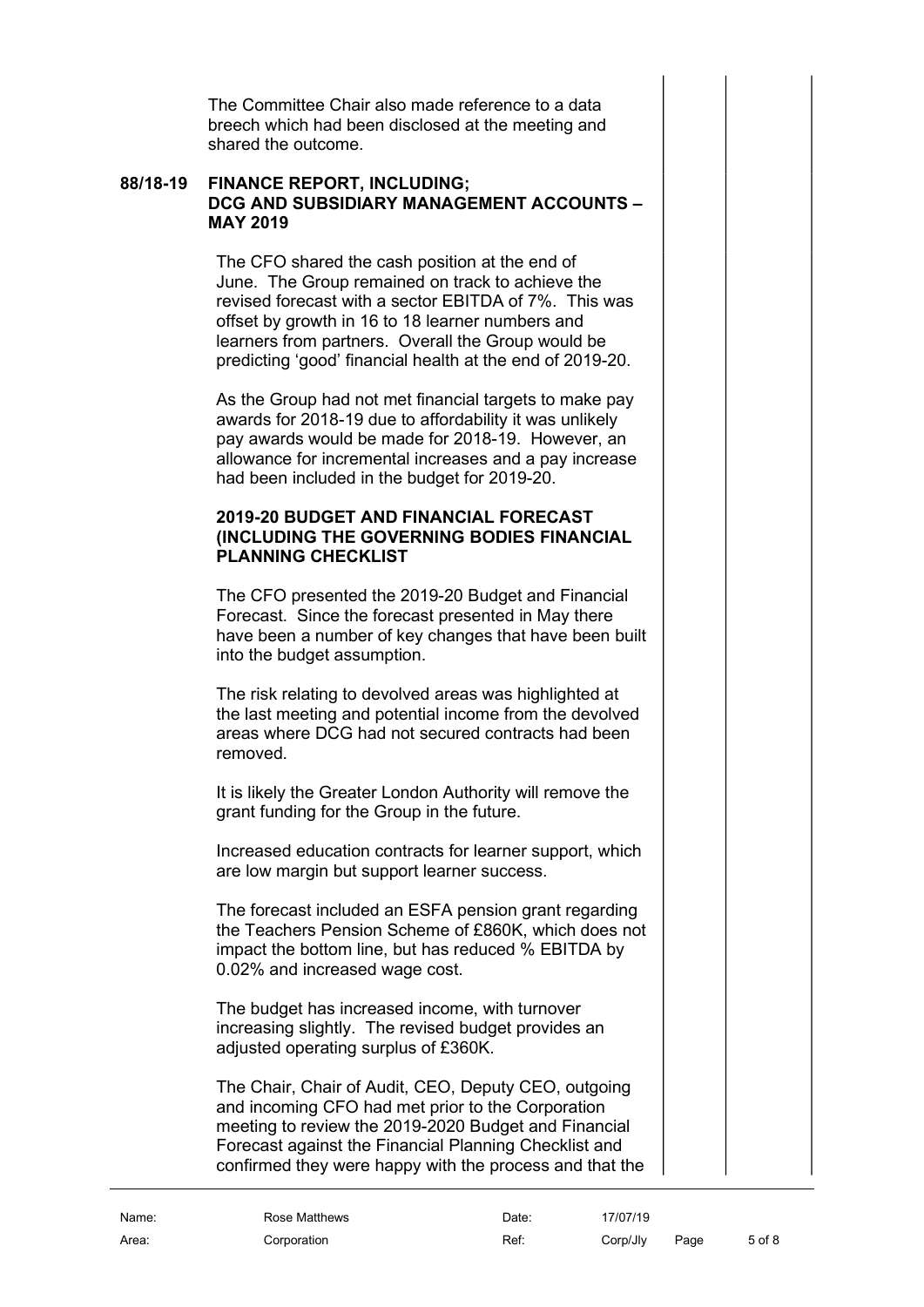The Committee Chair also made reference to a data breech which had been disclosed at the meeting and shared the outcome.

#### 88/18-19 FINANCE REPORT, INCLUDING; DCG AND SUBSIDIARY MANAGEMENT ACCOUNTS – MAY 2019

The CFO shared the cash position at the end of June. The Group remained on track to achieve the revised forecast with a sector EBITDA of 7%. This was offset by growth in 16 to 18 learner numbers and learners from partners. Overall the Group would be predicting 'good' financial health at the end of 2019-20.

As the Group had not met financial targets to make pay awards for 2018-19 due to affordability it was unlikely pay awards would be made for 2018-19. However, an allowance for incremental increases and a pay increase had been included in the budget for 2019-20.

## 2019-20 BUDGET AND FINANCIAL FORECAST (INCLUDING THE GOVERNING BODIES FINANCIAL PLANNING CHECKLIST

The CFO presented the 2019-20 Budget and Financial Forecast. Since the forecast presented in May there have been a number of key changes that have been built into the budget assumption.

The risk relating to devolved areas was highlighted at the last meeting and potential income from the devolved areas where DCG had not secured contracts had been removed.

It is likely the Greater London Authority will remove the grant funding for the Group in the future.

Increased education contracts for learner support, which are low margin but support learner success.

The forecast included an ESFA pension grant regarding the Teachers Pension Scheme of £860K, which does not impact the bottom line, but has reduced % EBITDA by 0.02% and increased wage cost.

The budget has increased income, with turnover increasing slightly. The revised budget provides an adjusted operating surplus of £360K.

The Chair, Chair of Audit, CEO, Deputy CEO, outgoing and incoming CFO had met prior to the Corporation meeting to review the 2019-2020 Budget and Financial Forecast against the Financial Planning Checklist and confirmed they were happy with the process and that the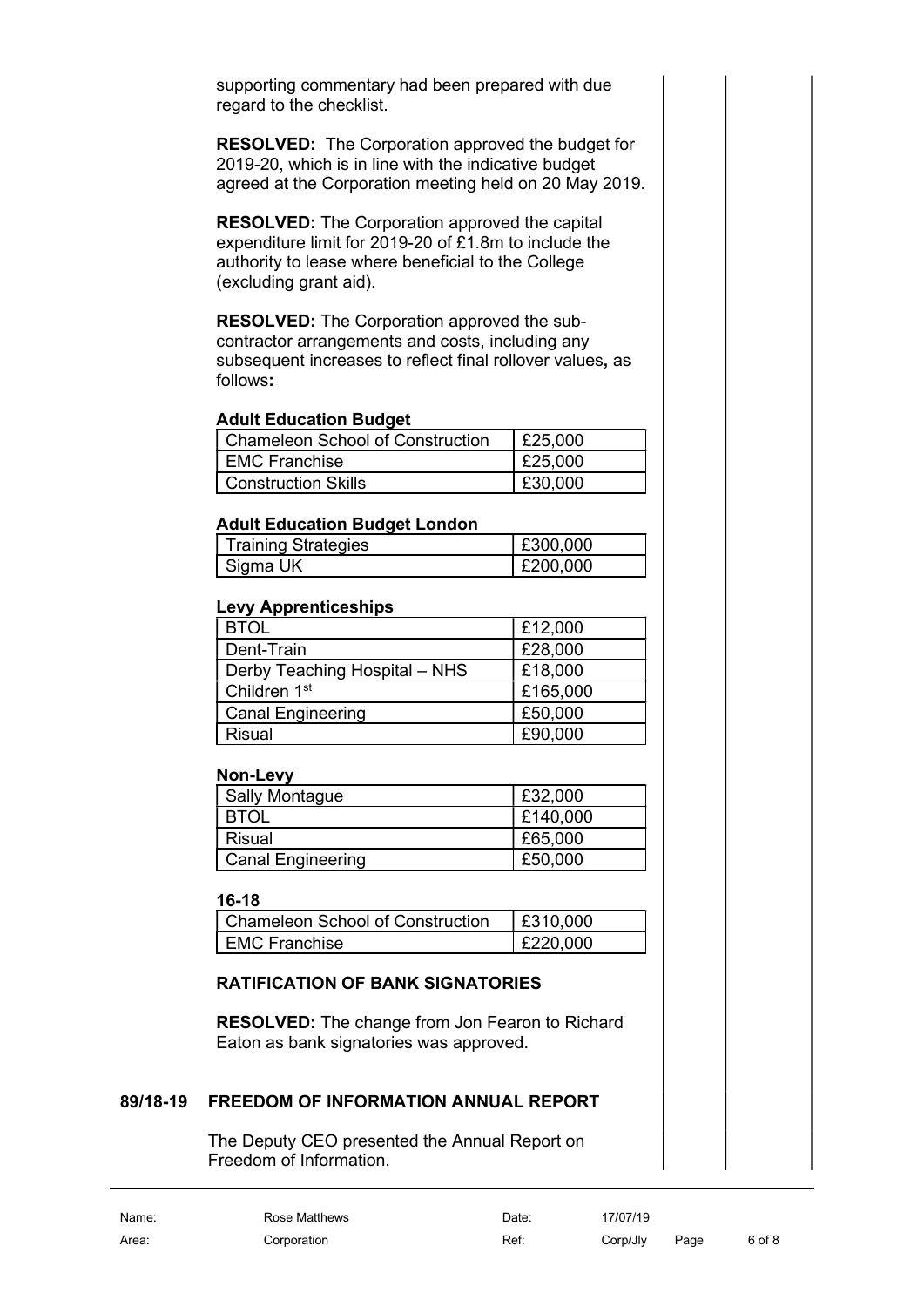supporting commentary had been prepared with due regard to the checklist.

RESOLVED: The Corporation approved the budget for 2019-20, which is in line with the indicative budget agreed at the Corporation meeting held on 20 May 2019.

RESOLVED: The Corporation approved the capital expenditure limit for 2019-20 of £1.8m to include the authority to lease where beneficial to the College (excluding grant aid).

RESOLVED: The Corporation approved the subcontractor arrangements and costs, including any subsequent increases to reflect final rollover values, as follows:

#### Adult Education Budget

| Chameleon School of Construction | $\vert$ £25,000 |
|----------------------------------|-----------------|
| EMC Franchise                    | E25,000         |
| <b>I</b> Construction Skills     | £30,000         |

## Adult Education Budget London

| <b>Training Strategies</b> | £300,000 |
|----------------------------|----------|
| Sigma UK                   | £200,000 |

#### Levy Apprenticeships

| <b>BTOL</b>                   | £12,000  |
|-------------------------------|----------|
| Dent-Train                    | £28,000  |
| Derby Teaching Hospital - NHS | £18,000  |
| Children 1 <sup>st</sup>      | £165,000 |
| <b>Canal Engineering</b>      | £50,000  |
| <b>Risual</b>                 | £90,000  |

#### Non-Levy

| <b>Sally Montague</b>    | £32,000  |
|--------------------------|----------|
| <b>BTOL</b>              | £140,000 |
| Risual                   | £65,000  |
| <b>Canal Engineering</b> | £50,000  |

#### 16-18

| <b>Chameleon School of Construction</b> | E310.000 |
|-----------------------------------------|----------|
| I EMC Franchise                         | £220,000 |

## RATIFICATION OF BANK SIGNATORIES

RESOLVED: The change from Jon Fearon to Richard Eaton as bank signatories was approved.

## 89/18-19 FREEDOM OF INFORMATION ANNUAL REPORT

The Deputy CEO presented the Annual Report on Freedom of Information.

Name: Rose Matthews Date: 17/07/19 Area: Corporation Ref: Corp/Jly Page 6 of 8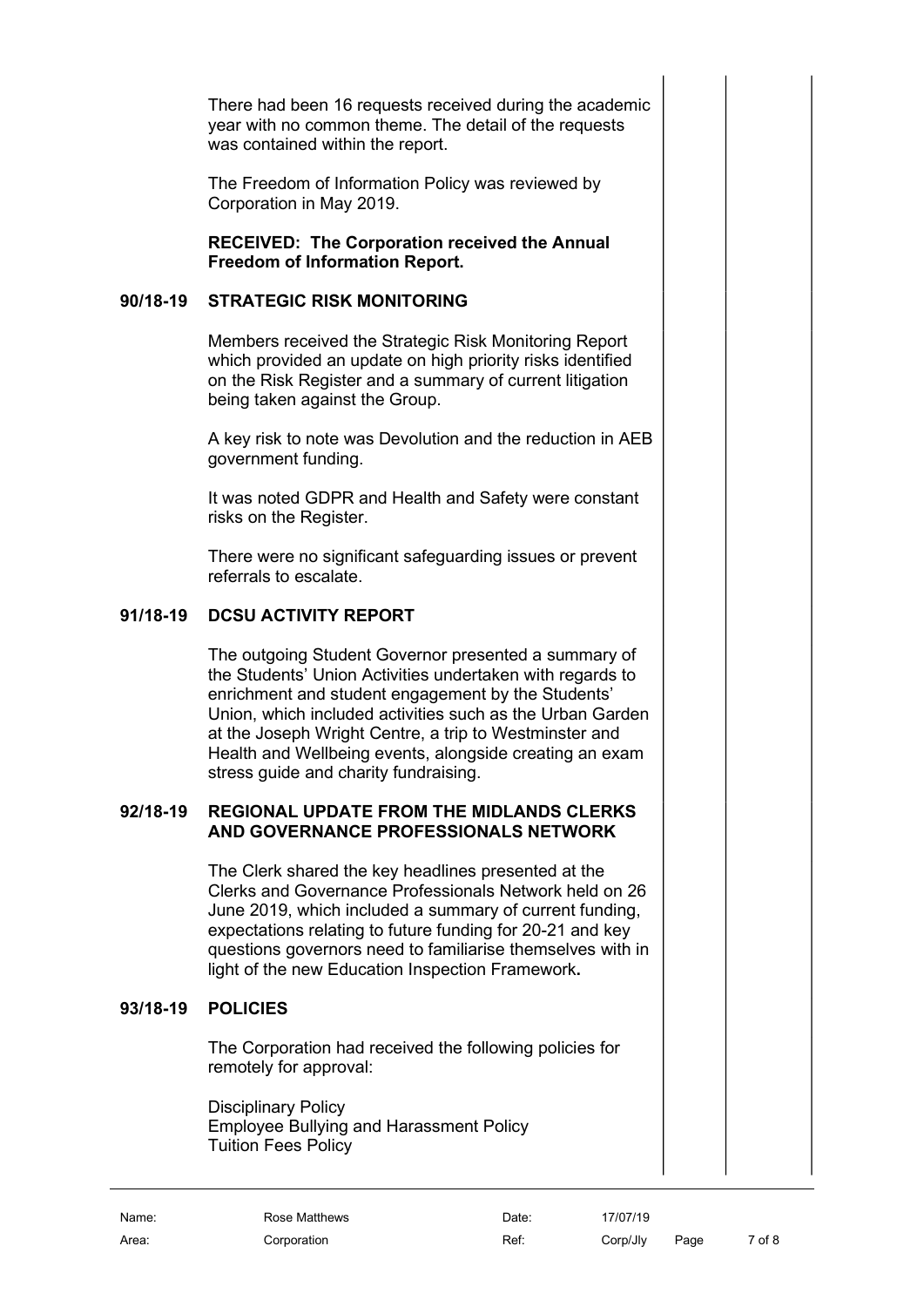There had been 16 requests received during the academic year with no common theme. The detail of the requests was contained within the report.

The Freedom of Information Policy was reviewed by Corporation in May 2019.

RECEIVED: The Corporation received the Annual Freedom of Information Report.

## 90/18-19 STRATEGIC RISK MONITORING

Members received the Strategic Risk Monitoring Report which provided an update on high priority risks identified on the Risk Register and a summary of current litigation being taken against the Group.

A key risk to note was Devolution and the reduction in AEB government funding.

It was noted GDPR and Health and Safety were constant risks on the Register.

There were no significant safeguarding issues or prevent referrals to escalate.

## 91/18-19 DCSU ACTIVITY REPORT

The outgoing Student Governor presented a summary of the Students' Union Activities undertaken with regards to enrichment and student engagement by the Students' Union, which included activities such as the Urban Garden at the Joseph Wright Centre, a trip to Westminster and Health and Wellbeing events, alongside creating an exam stress guide and charity fundraising.

## 92/18-19 REGIONAL UPDATE FROM THE MIDLANDS CLERKS AND GOVERNANCE PROFESSIONALS NETWORK

The Clerk shared the key headlines presented at the Clerks and Governance Professionals Network held on 26 June 2019, which included a summary of current funding, expectations relating to future funding for 20-21 and key questions governors need to familiarise themselves with in light of the new Education Inspection Framework.

## 93/18-19 POLICIES

The Corporation had received the following policies for remotely for approval:

Disciplinary Policy Employee Bullying and Harassment Policy Tuition Fees Policy

Name: Rose Matthews Date: 17/07/19 Area: Corporation Ref: Corp/Jly Page 7 of 8